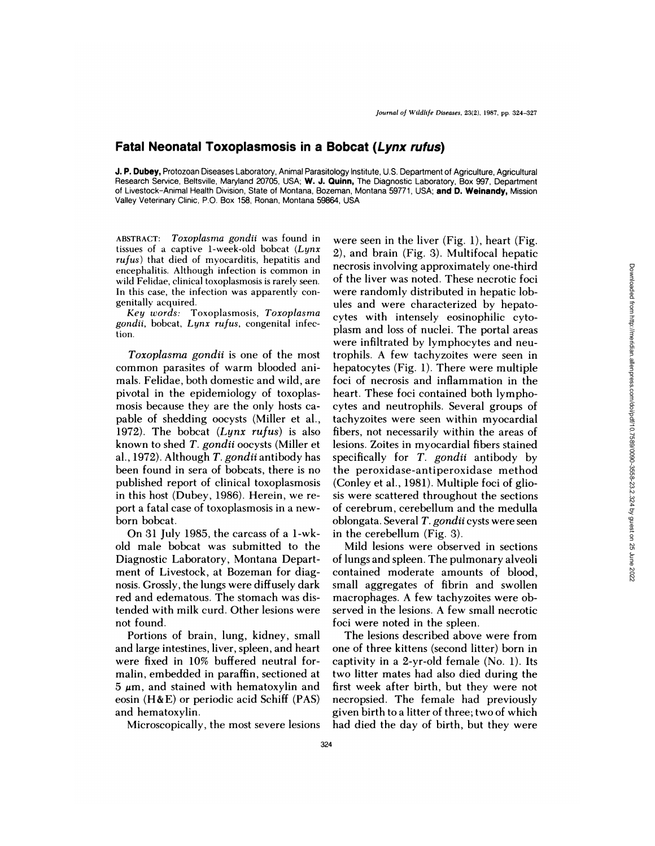## **Fatal Neonatal Toxoplasmosis in a Bobcat (Lynx rufus)**

**J. P. Dubey,** Protozoan Diseases Laboratory, Animal Parasitology Institute, U.S. Department of Agriculture, Agricultural Research Service, Beltsville, Maryland 20705, USA; W. **J. Quinn,** The Diagnostic Laboratory, Box 997, Department of Livestock-Animal Health Division, State ofMontana, Bozeman, Montana 59771, USA; **and D. Weinandy,** Mission Valley Veterinary Clinic, P.O. Box 158, Ronan, Montana 59864, USA

**ABSTRACT:** Toxoplasma gondii was found in tissues of a captive 1-week-old bobcat  $(Lynx)$ *rufus)* that died of myocarditis, hepatitis and encephalitis. Although infection is common in wild Felidae, clinical toxoplasmosis is rarely seen. In this case, the infection was apparently con genitally acquired.

*Key words:* Toxoplasmosis, Toxoplasma *gondii,* bobcat, Lynx *rufus,* congenital infection.

*Toxoplasma gondii* is one of the most common parasites of warm blooded animals. Felidae, both domestic and wild, are pivotal in the epidemiology of toxoplasmosis because they are the only hosts ca pable of shedding oocysts (Miller et a!., 1972). The bobcat *(Lynx rufus)* is also known to shed *T. gondii* oocysts (Miller et a!., 1972). Although *T. gondii* antibody has been found in sena of bobcats, there is no published report of clinical toxoplasmosis in this host (Dubey, 1986). Herein, we re port a fatal case of toxoplasmosis in a new born bobcat.

On 31 July 1985, the carcass of a 1-wkold male bobcat was submitted to the Diagnostic Laboratory, Montana Department of Livestock, at Bozeman for diagnosis. Grossly, the lungs were diffusely dark red and edematous. The stomach was distended with milk curd. Other lesions were not found.

Portions of brain, lung, kidney, small and large intestines, liven, spleen, and heart were fixed in 10% buffered neutral formalin, embedded in paraffin, sectioned at  $5 \mu m$ , and stained with hematoxylin and eosin (H&E) or periodic acid Schiff (PAS) and hematoxylin.

Microscopically, the most severe lesions

were seen in the liven (Fig. 1), heart (Fig. 2), and brain (Fig. 3). Multifocal hepatic necrosis involving approximately one-third of the liver was noted. These necrotic foci were randomly distributed in hepatic lobules and were characterized by hepatocytes with intensely eosinophilic cytoplasm and loss of nuclei. The portal areas were infiltrated by lymphocytes and neutrophils. A few tachyzoites were seen in hepatocytes (Fig. 1). There were multiple foci of necrosis and inflammation in the heart. These foci contained both lymphocytes and neutnophils. Several groups of tachyzoites were seen within myocardial fibers, not necessarily within the areas of lesions. Zoites in myocandial fibers stained specifically for *T. gondii* antibody by the penoxidase-antiperoxidase method (Conley et a!., 1981). Multiple foci of gliosis were scattered throughout the sections of cerebrum, cerebellum and the medulla oblongata. Several *T. gondii* cysts were seen in the cerebellum (Fig. 3).

Mild lesions were observed in sections of lungs and spleen. The pulmonary alveoli contained moderate amounts of blood, small aggregates of fibrin and swollen macrophages. A few tachyzoites were observed in the lesions. A few small necrotic foci were noted in the spleen.

The lesions described above were from one of three kittens (second litter) born in captivity in a 2-yr-old female (No. 1). Its two litter mates had also died during the first week after birth, but they were not necropsied. The female had previously given birth to a litter of three; two of which had died the day of birth, but they were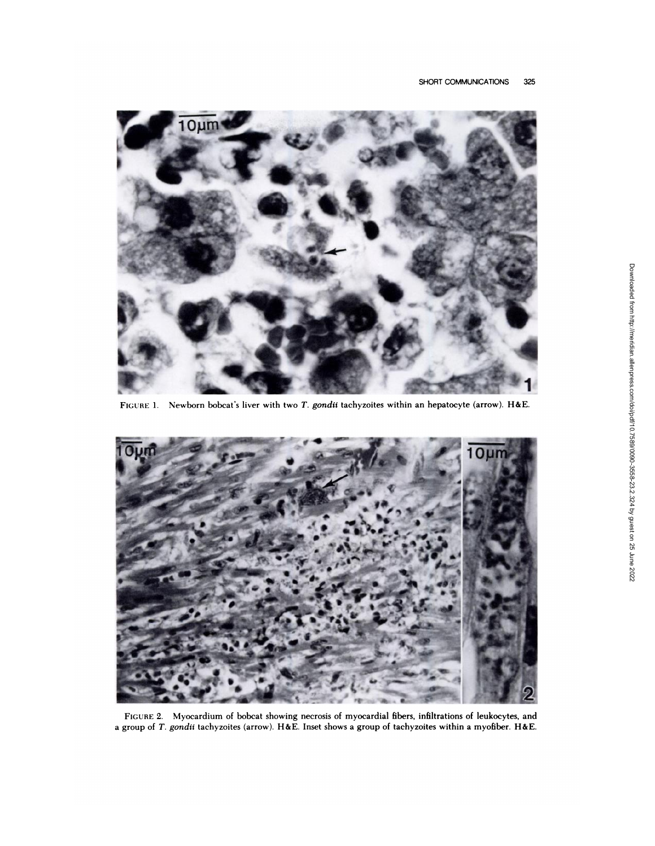

FIGURE 1. Newborn bobcat's liver with two *T. gondii* tachyzoites within an hepatocyte (arrow). H&E.



FIGURE 2. Myocardium of bobcat showing necrosis of myocardial fibers, infiltrations of leukocytes, and **a group of** T. *gondii* tachyzoites (arrow). H&E. Inset shows a group of tachyzoites within a myofiber. H&E.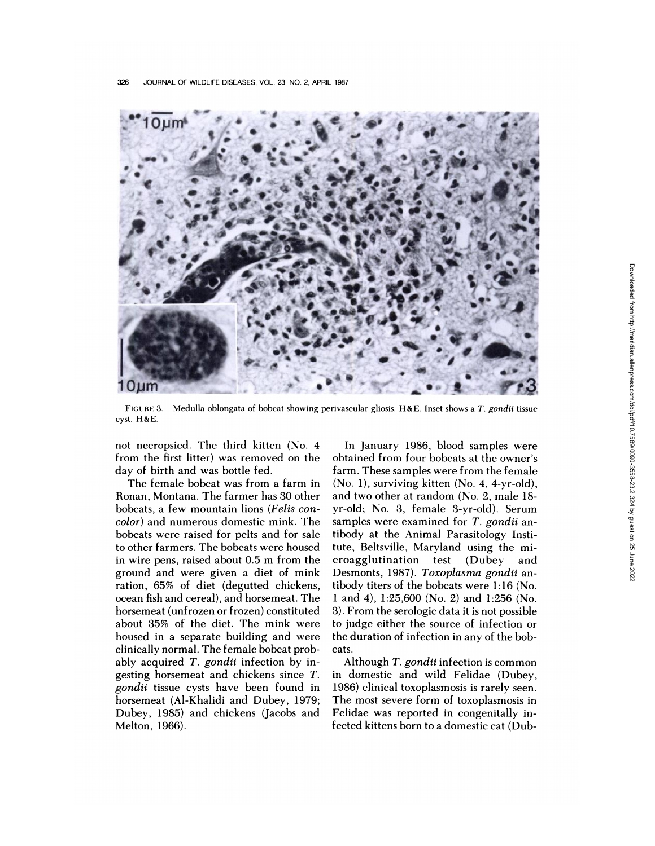

FIGURE 3. cyst. H&E. Medulla oblongata of bobcat showing perivascular gliosis. H&E. Inset shows a *T. gondii* tissue

not necnopsied. The third kitten (No. 4 from the first litter) was removed on the day of birth and was bottle fed.

The female bobcat was from a farm in Ronan, Montana. The farmer has 30 other bobcats, a few mountain lions *(Felis con color)* and numerous domestic mink. The bobcats were raised for pelts and for sale to other farmers. The bobcats were housed in wire pens, raised about 0.5 m from the ground and were given a diet of mink nation, 65% of diet (degutted chickens, ocean fish and cereal), and horsemeat. The horsemeat (unfrozen on frozen) constituted about 35% of the diet. The mink were housed in a separate building and were clinically normal. The female bobcat probably acquired *T. gondii* infection by ingesting horsemeat and chickens since *T. gondii* tissue cysts have been found in horsemeat (Al-Khalidi and Dubey, 1979; Dubey, 1985) and chickens (Jacobs and Melton, 1966).

In January 1986, blood samples were obtained from four bobcats at the owner's farm. These samples were from the female (No. 1), surviving kitten (No. 4, 4-yr-old), and two other at random (No.2, male 18 yr-old; No. 3, female 3-yr-old). Serum samples were examined for *T. gondii* antibody at the Animal Parasitology Institute, Beltsville, Maryland using the microagglutination test (Dubey and Desmonts, 1987). *Toxoplasma gondii* antibody titers of the bobcats were 1:16 (No. 1 and 4), 1:25,600 (No. 2) and 1:256 (No. 3). From the serologic data it is not possible to judge either the source of infection or the duration of infection in any of the bobcats.

Although *T. gondii* infection is common in domestic and wild Felidae (Dubey, 1986) clinical toxoplasmosis is rarely seen. The most severe form of toxoplasmosis in Felidae was reported in congenitally infected kittens born to a domestic cat (Dub-